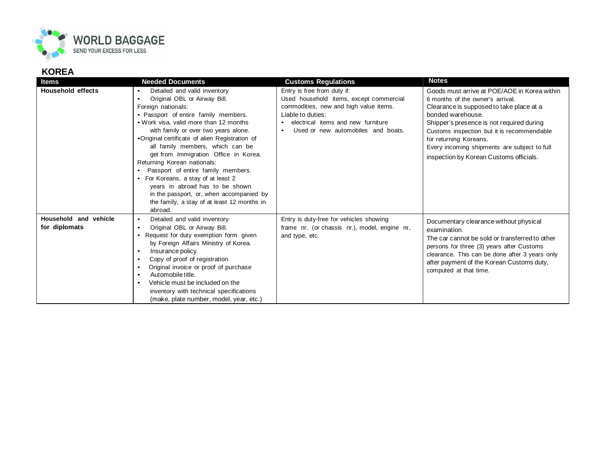

## **KOREA**

| Items                                  | <b>Needed Documents</b>                                                                                                                                                                                                                                                                                                                                                                                                                                                                                                                                                                                                  | <b>Customs Regulations</b>                                                                                                                                                                                                     | <b>Notes</b>                                                                                                                                                                                                                                                                                                                                                      |
|----------------------------------------|--------------------------------------------------------------------------------------------------------------------------------------------------------------------------------------------------------------------------------------------------------------------------------------------------------------------------------------------------------------------------------------------------------------------------------------------------------------------------------------------------------------------------------------------------------------------------------------------------------------------------|--------------------------------------------------------------------------------------------------------------------------------------------------------------------------------------------------------------------------------|-------------------------------------------------------------------------------------------------------------------------------------------------------------------------------------------------------------------------------------------------------------------------------------------------------------------------------------------------------------------|
| <b>Household effects</b>               | Detailed and valid inventory<br>$\bullet$<br>Original OBL or Airway Bill.<br>$\bullet$<br>Foreign nationals:<br>• Passport of entire family members.<br>• Work visa, valid more than 12 months<br>with family or over two years alone.<br>•Original certificate of alien Registration of<br>all family members, which can be<br>get from Immigration Office in Korea.<br>Returning Korean nationals:<br>Passport of entire family members.<br>For Koreans, a stay of at least 2<br>years in abroad has to be shown<br>in the passport, or, when accompanied by<br>the family, a stay of at least 12 months in<br>abroad. | Entry is free from duty if:<br>Used household items, except commercial<br>commodities, new and high value items.<br>Liable to duties:<br>electrical items and new furniture<br>Used or new automobiles and boats.<br>$\bullet$ | Goods must arrive at POE/AOE in Korea within<br>6 months of the owner's arrival.<br>Clearance is supposed to take place at a<br>bonded warehouse.<br>Shipper's presence is not required during<br>Customs inspection but it is recommendable<br>for returning Koreans.<br>Every incoming shipments are subject to full<br>inspection by Korean Customs officials. |
| Household and vehicle<br>for diplomats | Detailed and valid inventory<br>$\bullet$<br>Original OBL or Airway Bill.<br>$\bullet$<br>Request for duty exemption form given<br>by Foreign Affairs Ministry of Korea.<br>Insurance policy<br>$\bullet$<br>Copy of proof of registration<br>Original invoice or proof of purchase<br>$\bullet$<br>Automobile title.<br>$\bullet$<br>Vehicle must be included on the<br>$\bullet$<br>inventory with technical specifications<br>(make, plate number, model, year, etc.)                                                                                                                                                 | Entry is duty-free for vehicles showing<br>frame nr. (or chassis nr.), model, engine nr,<br>and type, etc.                                                                                                                     | Documentary clearance without physical<br>examination.<br>The car cannot be sold or transferred to other<br>persons for three (3) years after Customs<br>clearance. This can be done after 3 years only<br>after payment of the Korean Customs duty,<br>computed at that time.                                                                                    |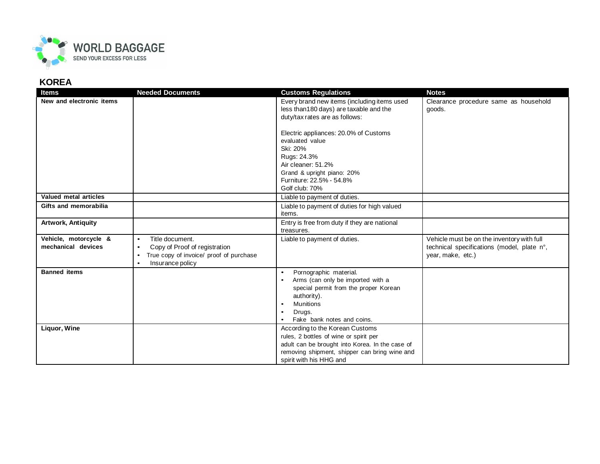

## **KOREA**

| <b>Items</b>                                | <b>Needed Documents</b>                                                                                                                                             | <b>Customs Regulations</b>                                                                                                                                                                                                          | <b>Notes</b>                                                                                                  |
|---------------------------------------------|---------------------------------------------------------------------------------------------------------------------------------------------------------------------|-------------------------------------------------------------------------------------------------------------------------------------------------------------------------------------------------------------------------------------|---------------------------------------------------------------------------------------------------------------|
| New and electronic items                    |                                                                                                                                                                     | Every brand new items (including items used<br>less than 180 days) are taxable and the<br>duty/tax rates are as follows:                                                                                                            | Clearance procedure same as household<br>goods.                                                               |
|                                             |                                                                                                                                                                     | Electric appliances: 20.0% of Customs<br>evaluated value<br>Ski: 20%<br>Rugs: 24.3%<br>Air cleaner: 51.2%<br>Grand & upright piano: 20%<br>Furniture: 22.5% - 54.8%<br>Golf club: 70%                                               |                                                                                                               |
| Valued metal articles                       |                                                                                                                                                                     | Liable to payment of duties.                                                                                                                                                                                                        |                                                                                                               |
| Gifts and memorabilia                       |                                                                                                                                                                     | Liable to payment of duties for high valued<br>items.                                                                                                                                                                               |                                                                                                               |
| <b>Artwork, Antiquity</b>                   |                                                                                                                                                                     | Entry is free from duty if they are national<br>treasures.                                                                                                                                                                          |                                                                                                               |
| Vehicle, motorcycle &<br>mechanical devices | Title document.<br>$\bullet$<br>Copy of Proof of registration<br>$\bullet$<br>True copy of invoice/ proof of purchase<br>$\bullet$<br>Insurance policy<br>$\bullet$ | Liable to payment of duties.                                                                                                                                                                                                        | Vehicle must be on the inventory with full<br>technical specifications (model, plate n°,<br>year, make, etc.) |
| <b>Banned items</b>                         |                                                                                                                                                                     | Pornographic material.<br>$\bullet$<br>Arms (can only be imported with a<br>$\bullet$<br>special permit from the proper Korean<br>authority).<br><b>Munitions</b><br>$\bullet$<br>Drugs.<br>$\bullet$<br>Fake bank notes and coins. |                                                                                                               |
| Liquor, Wine                                |                                                                                                                                                                     | According to the Korean Customs<br>rules, 2 bottles of wine or spirit per<br>adult can be brought into Korea. In the case of<br>removing shipment, shipper can bring wine and<br>spirit with his HHG and                            |                                                                                                               |